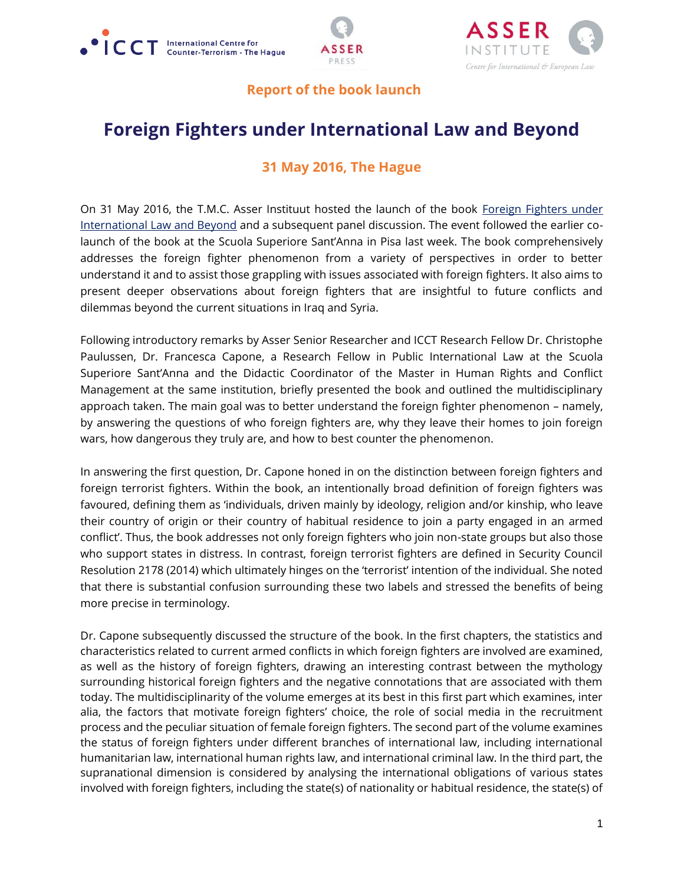





## **Report of the book launch**

## **Foreign Fighters under International Law and Beyond**

## **31 May 2016, The Hague**

On 31 May 2016, the T.M.C. Asser Instituut hosted the launch of the book Foreign Fighters under [International Law and Beyond](http://www.asser.nl/asserpress/books/?rId=12841) and a subsequent panel discussion. The event followed the earlier colaunch of the book at the Scuola Superiore Sant'Anna in Pisa last week. The book comprehensively addresses the foreign fighter phenomenon from a variety of perspectives in order to better understand it and to assist those grappling with issues associated with foreign fighters. It also aims to present deeper observations about foreign fighters that are insightful to future conflicts and dilemmas beyond the current situations in Iraq and Syria.

Following introductory remarks by Asser Senior Researcher and ICCT Research Fellow Dr. Christophe Paulussen, Dr. Francesca Capone, a Research Fellow in Public International Law at the Scuola Superiore Sant'Anna and the Didactic Coordinator of the Master in Human Rights and Conflict Management at the same institution, briefly presented the book and outlined the multidisciplinary approach taken. The main goal was to better understand the foreign fighter phenomenon – namely, by answering the questions of who foreign fighters are, why they leave their homes to join foreign wars, how dangerous they truly are, and how to best counter the phenomenon.

In answering the first question, Dr. Capone honed in on the distinction between foreign fighters and foreign terrorist fighters. Within the book, an intentionally broad definition of foreign fighters was favoured, defining them as 'individuals, driven mainly by ideology, religion and/or kinship, who leave their country of origin or their country of habitual residence to join a party engaged in an armed conflict'. Thus, the book addresses not only foreign fighters who join non-state groups but also those who support states in distress. In contrast, foreign terrorist fighters are defined in Security Council Resolution 2178 (2014) which ultimately hinges on the 'terrorist' intention of the individual. She noted that there is substantial confusion surrounding these two labels and stressed the benefits of being more precise in terminology.

Dr. Capone subsequently discussed the structure of the book. In the first chapters, the statistics and characteristics related to current armed conflicts in which foreign fighters are involved are examined, as well as the history of foreign fighters, drawing an interesting contrast between the mythology surrounding historical foreign fighters and the negative connotations that are associated with them today. The multidisciplinarity of the volume emerges at its best in this first part which examines, inter alia, the factors that motivate foreign fighters' choice, the role of social media in the recruitment process and the peculiar situation of female foreign fighters. The second part of the volume examines the status of foreign fighters under different branches of international law, including international humanitarian law, international human rights law, and international criminal law. In the third part, the supranational dimension is considered by analysing the international obligations of various states involved with foreign fighters, including the state(s) of nationality or habitual residence, the state(s) of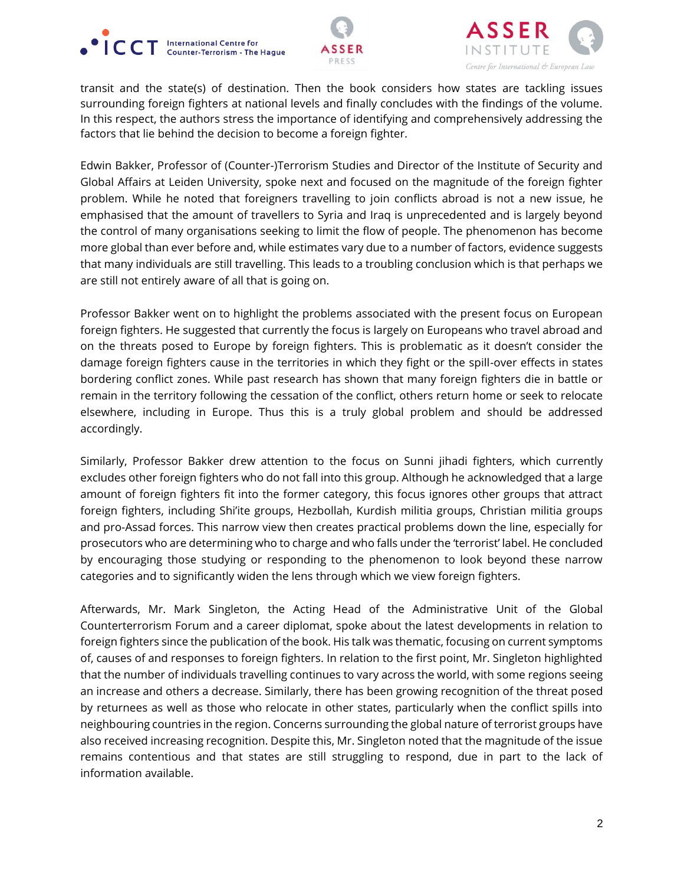





transit and the state(s) of destination. Then the book considers how states are tackling issues surrounding foreign fighters at national levels and finally concludes with the findings of the volume. In this respect, the authors stress the importance of identifying and comprehensively addressing the factors that lie behind the decision to become a foreign fighter.

Edwin Bakker, Professor of (Counter-)Terrorism Studies and Director of the Institute of Security and Global Affairs at Leiden University, spoke next and focused on the magnitude of the foreign fighter problem. While he noted that foreigners travelling to join conflicts abroad is not a new issue, he emphasised that the amount of travellers to Syria and Iraq is unprecedented and is largely beyond the control of many organisations seeking to limit the flow of people. The phenomenon has become more global than ever before and, while estimates vary due to a number of factors, evidence suggests that many individuals are still travelling. This leads to a troubling conclusion which is that perhaps we are still not entirely aware of all that is going on.

Professor Bakker went on to highlight the problems associated with the present focus on European foreign fighters. He suggested that currently the focus is largely on Europeans who travel abroad and on the threats posed to Europe by foreign fighters. This is problematic as it doesn't consider the damage foreign fighters cause in the territories in which they fight or the spill-over effects in states bordering conflict zones. While past research has shown that many foreign fighters die in battle or remain in the territory following the cessation of the conflict, others return home or seek to relocate elsewhere, including in Europe. Thus this is a truly global problem and should be addressed accordingly.

Similarly, Professor Bakker drew attention to the focus on Sunni jihadi fighters, which currently excludes other foreign fighters who do not fall into this group. Although he acknowledged that a large amount of foreign fighters fit into the former category, this focus ignores other groups that attract foreign fighters, including Shi'ite groups, Hezbollah, Kurdish militia groups, Christian militia groups and pro-Assad forces. This narrow view then creates practical problems down the line, especially for prosecutors who are determining who to charge and who falls under the 'terrorist' label. He concluded by encouraging those studying or responding to the phenomenon to look beyond these narrow categories and to significantly widen the lens through which we view foreign fighters.

Afterwards, Mr. Mark Singleton, the Acting Head of the Administrative Unit of the Global Counterterrorism Forum and a career diplomat, spoke about the latest developments in relation to foreign fighters since the publication of the book. His talk was thematic, focusing on current symptoms of, causes of and responses to foreign fighters. In relation to the first point, Mr. Singleton highlighted that the number of individuals travelling continues to vary across the world, with some regions seeing an increase and others a decrease. Similarly, there has been growing recognition of the threat posed by returnees as well as those who relocate in other states, particularly when the conflict spills into neighbouring countries in the region. Concerns surrounding the global nature of terrorist groups have also received increasing recognition. Despite this, Mr. Singleton noted that the magnitude of the issue remains contentious and that states are still struggling to respond, due in part to the lack of information available.